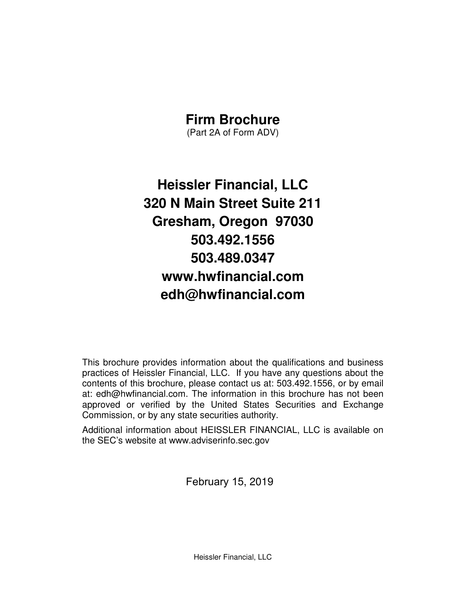# **Firm Brochure**

(Part 2A of Form ADV)

**Heissler Financial, LLC 320 N Main Street Suite 211 Gresham, Oregon 97030 503.492.1556 503.489.0347 www.hwfinancial.com edh@hwfinancial.com** 

This brochure provides information about the qualifications and business practices of Heissler Financial, LLC. If you have any questions about the contents of this brochure, please contact us at: 503.492.1556, or by email at: edh@hwfinancial.com. The information in this brochure has not been approved or verified by the United States Securities and Exchange Commission, or by any state securities authority.

Additional information about HEISSLER FINANCIAL, LLC is available on the SEC's website at www.adviserinfo.sec.gov

February 15, 2019

Heissler Financial, LLC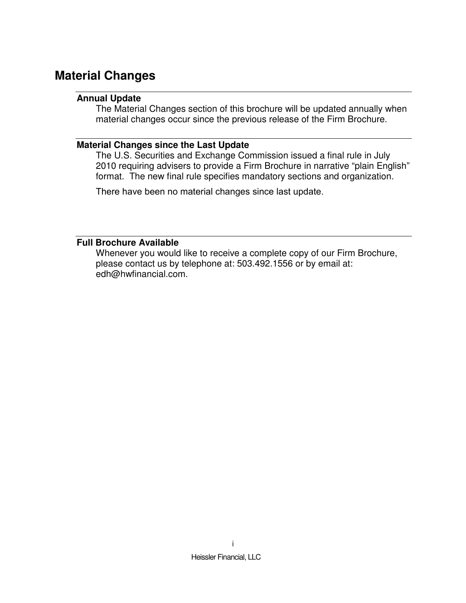# **Material Changes**

#### **Annual Update**

The Material Changes section of this brochure will be updated annually when material changes occur since the previous release of the Firm Brochure.

#### **Material Changes since the Last Update**

The U.S. Securities and Exchange Commission issued a final rule in July 2010 requiring advisers to provide a Firm Brochure in narrative "plain English" format. The new final rule specifies mandatory sections and organization.

There have been no material changes since last update.

#### **Full Brochure Available**

Whenever you would like to receive a complete copy of our Firm Brochure, please contact us by telephone at: 503.492.1556 or by email at: edh@hwfinancial.com.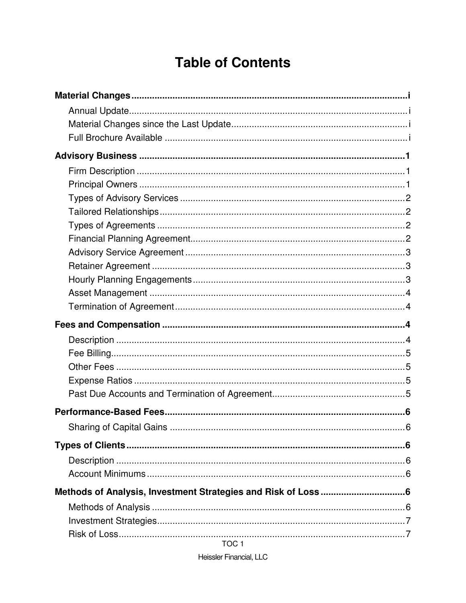# **Table of Contents**

TOC<sub>1</sub>

Heissler Financial, LLC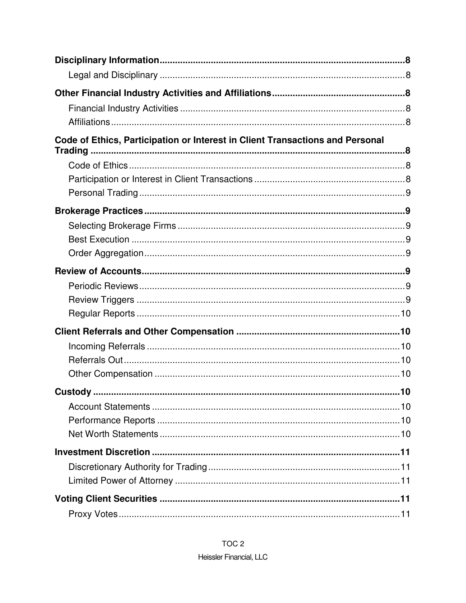| Code of Ethics, Participation or Interest in Client Transactions and Personal |    |
|-------------------------------------------------------------------------------|----|
|                                                                               |    |
|                                                                               |    |
|                                                                               |    |
|                                                                               |    |
|                                                                               |    |
|                                                                               |    |
|                                                                               |    |
|                                                                               |    |
|                                                                               |    |
|                                                                               |    |
|                                                                               |    |
|                                                                               |    |
|                                                                               |    |
|                                                                               |    |
|                                                                               |    |
| Custody.                                                                      | 10 |
|                                                                               |    |
|                                                                               |    |
|                                                                               |    |
|                                                                               |    |
|                                                                               |    |
|                                                                               |    |
|                                                                               |    |
|                                                                               |    |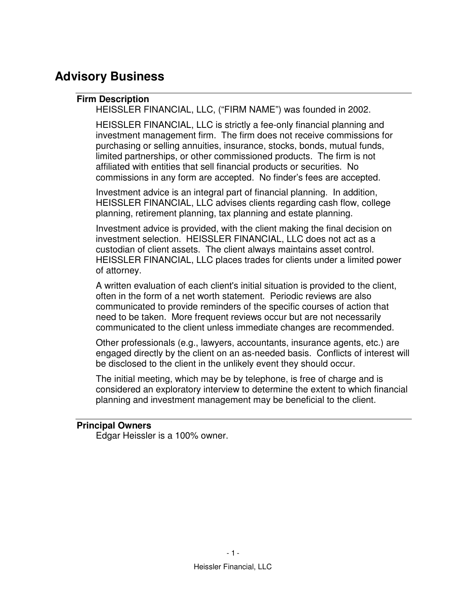# **Advisory Business**

#### **Firm Description**

HEISSLER FINANCIAL, LLC, ("FIRM NAME") was founded in 2002.

HEISSLER FINANCIAL, LLC is strictly a fee-only financial planning and investment management firm. The firm does not receive commissions for purchasing or selling annuities, insurance, stocks, bonds, mutual funds, limited partnerships, or other commissioned products. The firm is not affiliated with entities that sell financial products or securities. No commissions in any form are accepted. No finder's fees are accepted.

Investment advice is an integral part of financial planning. In addition, HEISSLER FINANCIAL, LLC advises clients regarding cash flow, college planning, retirement planning, tax planning and estate planning.

Investment advice is provided, with the client making the final decision on investment selection. HEISSLER FINANCIAL, LLC does not act as a custodian of client assets. The client always maintains asset control. HEISSLER FINANCIAL, LLC places trades for clients under a limited power of attorney.

A written evaluation of each client's initial situation is provided to the client, often in the form of a net worth statement. Periodic reviews are also communicated to provide reminders of the specific courses of action that need to be taken. More frequent reviews occur but are not necessarily communicated to the client unless immediate changes are recommended.

Other professionals (e.g., lawyers, accountants, insurance agents, etc.) are engaged directly by the client on an as-needed basis. Conflicts of interest will be disclosed to the client in the unlikely event they should occur.

The initial meeting, which may be by telephone, is free of charge and is considered an exploratory interview to determine the extent to which financial planning and investment management may be beneficial to the client.

#### **Principal Owners**

Edgar Heissler is a 100% owner.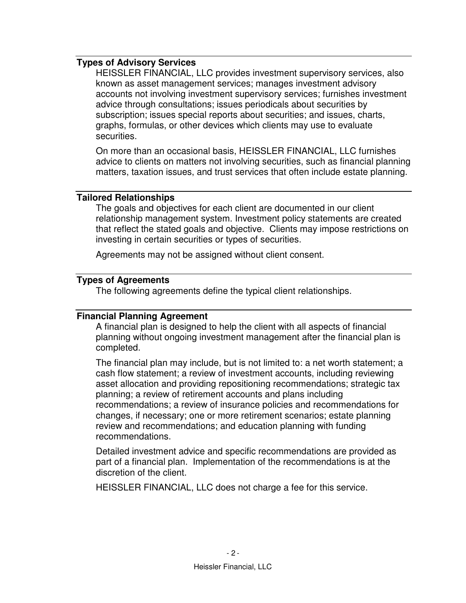#### **Types of Advisory Services**

HEISSLER FINANCIAL, LLC provides investment supervisory services, also known as asset management services; manages investment advisory accounts not involving investment supervisory services; furnishes investment advice through consultations; issues periodicals about securities by subscription; issues special reports about securities; and issues, charts, graphs, formulas, or other devices which clients may use to evaluate securities.

On more than an occasional basis, HEISSLER FINANCIAL, LLC furnishes advice to clients on matters not involving securities, such as financial planning matters, taxation issues, and trust services that often include estate planning.

#### **Tailored Relationships**

The goals and objectives for each client are documented in our client relationship management system. Investment policy statements are created that reflect the stated goals and objective. Clients may impose restrictions on investing in certain securities or types of securities.

Agreements may not be assigned without client consent.

#### **Types of Agreements**

The following agreements define the typical client relationships.

#### **Financial Planning Agreement**

A financial plan is designed to help the client with all aspects of financial planning without ongoing investment management after the financial plan is completed.

The financial plan may include, but is not limited to: a net worth statement; a cash flow statement; a review of investment accounts, including reviewing asset allocation and providing repositioning recommendations; strategic tax planning; a review of retirement accounts and plans including recommendations; a review of insurance policies and recommendations for changes, if necessary; one or more retirement scenarios; estate planning review and recommendations; and education planning with funding recommendations.

Detailed investment advice and specific recommendations are provided as part of a financial plan. Implementation of the recommendations is at the discretion of the client.

HEISSLER FINANCIAL, LLC does not charge a fee for this service.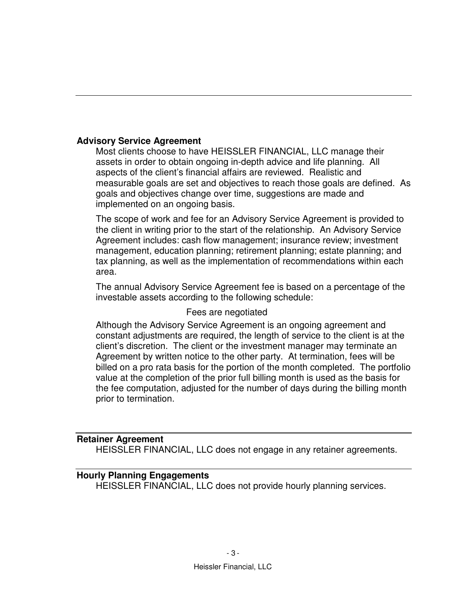#### **Advisory Service Agreement**

Most clients choose to have HEISSLER FINANCIAL, LLC manage their assets in order to obtain ongoing in-depth advice and life planning. All aspects of the client's financial affairs are reviewed. Realistic and measurable goals are set and objectives to reach those goals are defined. As goals and objectives change over time, suggestions are made and implemented on an ongoing basis.

The scope of work and fee for an Advisory Service Agreement is provided to the client in writing prior to the start of the relationship. An Advisory Service Agreement includes: cash flow management; insurance review; investment management, education planning; retirement planning; estate planning; and tax planning, as well as the implementation of recommendations within each area.

The annual Advisory Service Agreement fee is based on a percentage of the investable assets according to the following schedule:

#### Fees are negotiated

Although the Advisory Service Agreement is an ongoing agreement and constant adjustments are required, the length of service to the client is at the client's discretion. The client or the investment manager may terminate an Agreement by written notice to the other party. At termination, fees will be billed on a pro rata basis for the portion of the month completed. The portfolio value at the completion of the prior full billing month is used as the basis for the fee computation, adjusted for the number of days during the billing month prior to termination.

#### **Retainer Agreement**

HEISSLER FINANCIAL, LLC does not engage in any retainer agreements.

#### **Hourly Planning Engagements**

HEISSLER FINANCIAL, LLC does not provide hourly planning services.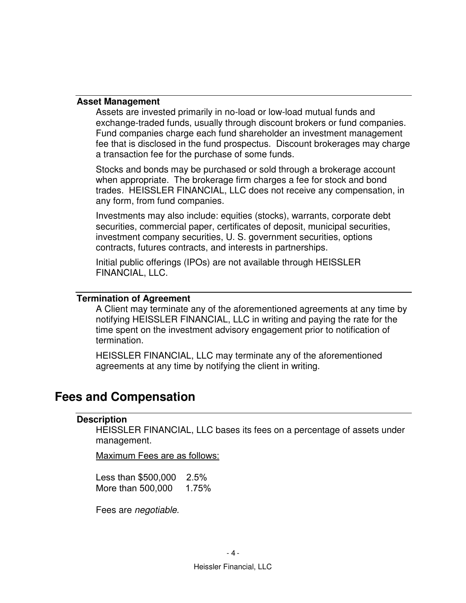#### **Asset Management**

Assets are invested primarily in no-load or low-load mutual funds and exchange-traded funds, usually through discount brokers or fund companies. Fund companies charge each fund shareholder an investment management fee that is disclosed in the fund prospectus. Discount brokerages may charge a transaction fee for the purchase of some funds.

Stocks and bonds may be purchased or sold through a brokerage account when appropriate. The brokerage firm charges a fee for stock and bond trades. HEISSLER FINANCIAL, LLC does not receive any compensation, in any form, from fund companies.

Investments may also include: equities (stocks), warrants, corporate debt securities, commercial paper, certificates of deposit, municipal securities, investment company securities, U. S. government securities, options contracts, futures contracts, and interests in partnerships.

Initial public offerings (IPOs) are not available through HEISSLER FINANCIAL, LLC.

#### **Termination of Agreement**

A Client may terminate any of the aforementioned agreements at any time by notifying HEISSLER FINANCIAL, LLC in writing and paying the rate for the time spent on the investment advisory engagement prior to notification of termination.

HEISSLER FINANCIAL, LLC may terminate any of the aforementioned agreements at any time by notifying the client in writing.

### **Fees and Compensation**

#### **Description**

HEISSLER FINANCIAL, LLC bases its fees on a percentage of assets under management.

Maximum Fees are as follows:

Less than \$500,000 2.5% More than 500,000 1.75%

Fees are *negotiable.*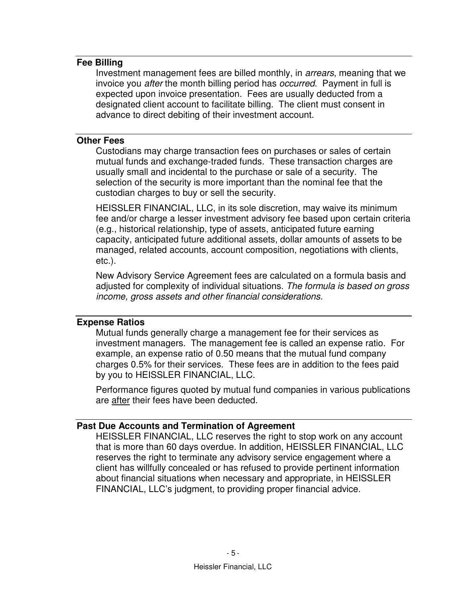#### **Fee Billing**

Investment management fees are billed monthly, in *arrears*, meaning that we invoice you *after* the month billing period has *occurred*. Payment in full is expected upon invoice presentation. Fees are usually deducted from a designated client account to facilitate billing. The client must consent in advance to direct debiting of their investment account.

#### **Other Fees**

Custodians may charge transaction fees on purchases or sales of certain mutual funds and exchange-traded funds. These transaction charges are usually small and incidental to the purchase or sale of a security. The selection of the security is more important than the nominal fee that the custodian charges to buy or sell the security.

HEISSLER FINANCIAL, LLC, in its sole discretion, may waive its minimum fee and/or charge a lesser investment advisory fee based upon certain criteria (e.g., historical relationship, type of assets, anticipated future earning capacity, anticipated future additional assets, dollar amounts of assets to be managed, related accounts, account composition, negotiations with clients, etc.).

New Advisory Service Agreement fees are calculated on a formula basis and adjusted for complexity of individual situations. *The formula is based on gross income, gross assets and other financial considerations.*

#### **Expense Ratios**

Mutual funds generally charge a management fee for their services as investment managers. The management fee is called an expense ratio. For example, an expense ratio of 0.50 means that the mutual fund company charges 0.5% for their services. These fees are in addition to the fees paid by you to HEISSLER FINANCIAL, LLC.

Performance figures quoted by mutual fund companies in various publications are after their fees have been deducted.

#### **Past Due Accounts and Termination of Agreement**

HEISSLER FINANCIAL, LLC reserves the right to stop work on any account that is more than 60 days overdue. In addition, HEISSLER FINANCIAL, LLC reserves the right to terminate any advisory service engagement where a client has willfully concealed or has refused to provide pertinent information about financial situations when necessary and appropriate, in HEISSLER FINANCIAL, LLC's judgment, to providing proper financial advice.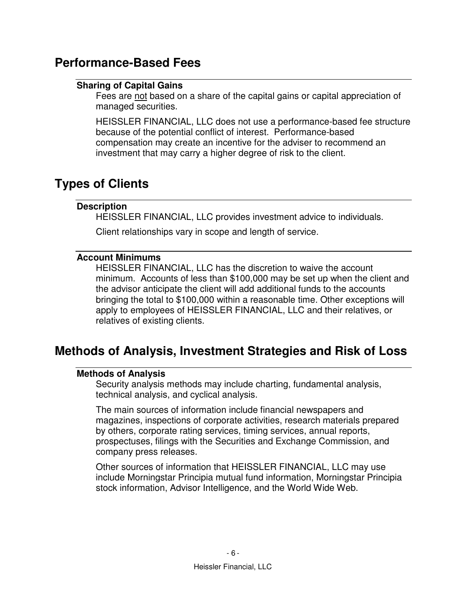# **Performance-Based Fees**

#### **Sharing of Capital Gains**

Fees are not based on a share of the capital gains or capital appreciation of managed securities.

HEISSLER FINANCIAL, LLC does not use a performance-based fee structure because of the potential conflict of interest. Performance-based compensation may create an incentive for the adviser to recommend an investment that may carry a higher degree of risk to the client.

# **Types of Clients**

#### **Description**

HEISSLER FINANCIAL, LLC provides investment advice to individuals.

Client relationships vary in scope and length of service.

#### **Account Minimums**

HEISSLER FINANCIAL, LLC has the discretion to waive the account minimum. Accounts of less than \$100,000 may be set up when the client and the advisor anticipate the client will add additional funds to the accounts bringing the total to \$100,000 within a reasonable time. Other exceptions will apply to employees of HEISSLER FINANCIAL, LLC and their relatives, or relatives of existing clients.

# **Methods of Analysis, Investment Strategies and Risk of Loss**

#### **Methods of Analysis**

Security analysis methods may include charting, fundamental analysis, technical analysis, and cyclical analysis.

The main sources of information include financial newspapers and magazines, inspections of corporate activities, research materials prepared by others, corporate rating services, timing services, annual reports, prospectuses, filings with the Securities and Exchange Commission, and company press releases.

Other sources of information that HEISSLER FINANCIAL, LLC may use include Morningstar Principia mutual fund information, Morningstar Principia stock information, Advisor Intelligence, and the World Wide Web.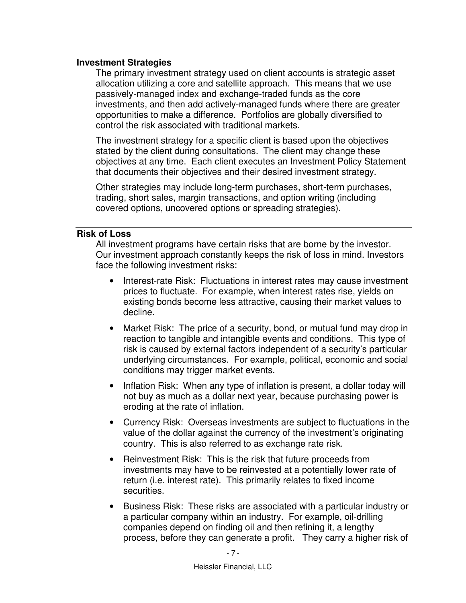#### **Investment Strategies**

The primary investment strategy used on client accounts is strategic asset allocation utilizing a core and satellite approach. This means that we use passively-managed index and exchange-traded funds as the core investments, and then add actively-managed funds where there are greater opportunities to make a difference. Portfolios are globally diversified to control the risk associated with traditional markets.

The investment strategy for a specific client is based upon the objectives stated by the client during consultations. The client may change these objectives at any time. Each client executes an Investment Policy Statement that documents their objectives and their desired investment strategy.

Other strategies may include long-term purchases, short-term purchases, trading, short sales, margin transactions, and option writing (including covered options, uncovered options or spreading strategies).

#### **Risk of Loss**

All investment programs have certain risks that are borne by the investor. Our investment approach constantly keeps the risk of loss in mind. Investors face the following investment risks:

- Interest-rate Risk: Fluctuations in interest rates may cause investment prices to fluctuate. For example, when interest rates rise, yields on existing bonds become less attractive, causing their market values to decline.
- Market Risk: The price of a security, bond, or mutual fund may drop in reaction to tangible and intangible events and conditions. This type of risk is caused by external factors independent of a security's particular underlying circumstances. For example, political, economic and social conditions may trigger market events.
- Inflation Risk: When any type of inflation is present, a dollar today will not buy as much as a dollar next year, because purchasing power is eroding at the rate of inflation.
- Currency Risk: Overseas investments are subject to fluctuations in the value of the dollar against the currency of the investment's originating country. This is also referred to as exchange rate risk.
- Reinvestment Risk: This is the risk that future proceeds from investments may have to be reinvested at a potentially lower rate of return (i.e. interest rate). This primarily relates to fixed income securities.
- Business Risk: These risks are associated with a particular industry or a particular company within an industry. For example, oil-drilling companies depend on finding oil and then refining it, a lengthy process, before they can generate a profit. They carry a higher risk of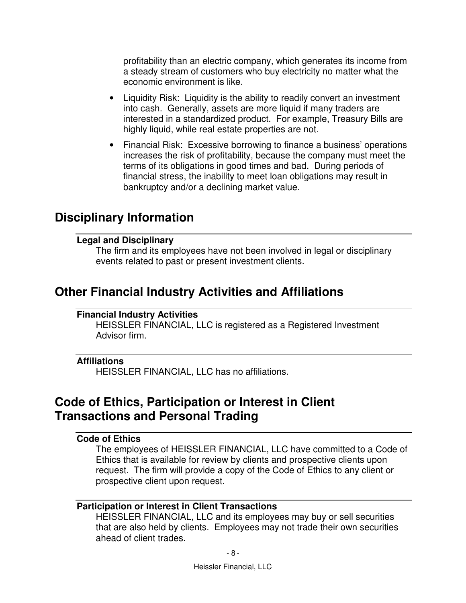profitability than an electric company, which generates its income from a steady stream of customers who buy electricity no matter what the economic environment is like.

- Liquidity Risk: Liquidity is the ability to readily convert an investment into cash. Generally, assets are more liquid if many traders are interested in a standardized product. For example, Treasury Bills are highly liquid, while real estate properties are not.
- Financial Risk: Excessive borrowing to finance a business' operations increases the risk of profitability, because the company must meet the terms of its obligations in good times and bad. During periods of financial stress, the inability to meet loan obligations may result in bankruptcy and/or a declining market value.

### **Disciplinary Information**

#### **Legal and Disciplinary**

The firm and its employees have not been involved in legal or disciplinary events related to past or present investment clients.

### **Other Financial Industry Activities and Affiliations**

#### **Financial Industry Activities**

HEISSLER FINANCIAL, LLC is registered as a Registered Investment Advisor firm.

#### **Affiliations**

HEISSLER FINANCIAL, LLC has no affiliations.

# **Code of Ethics, Participation or Interest in Client Transactions and Personal Trading**

#### **Code of Ethics**

The employees of HEISSLER FINANCIAL, LLC have committed to a Code of Ethics that is available for review by clients and prospective clients upon request. The firm will provide a copy of the Code of Ethics to any client or prospective client upon request.

#### **Participation or Interest in Client Transactions**

HEISSLER FINANCIAL, LLC and its employees may buy or sell securities that are also held by clients. Employees may not trade their own securities ahead of client trades.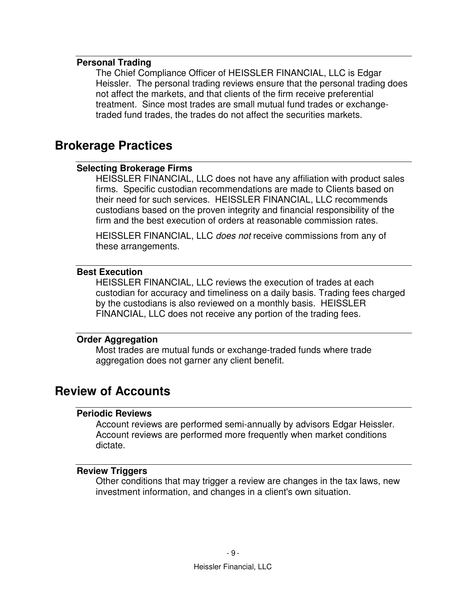#### **Personal Trading**

The Chief Compliance Officer of HEISSLER FINANCIAL, LLC is Edgar Heissler. The personal trading reviews ensure that the personal trading does not affect the markets, and that clients of the firm receive preferential treatment. Since most trades are small mutual fund trades or exchangetraded fund trades, the trades do not affect the securities markets.

### **Brokerage Practices**

#### **Selecting Brokerage Firms**

HEISSLER FINANCIAL, LLC does not have any affiliation with product sales firms. Specific custodian recommendations are made to Clients based on their need for such services. HEISSLER FINANCIAL, LLC recommends custodians based on the proven integrity and financial responsibility of the firm and the best execution of orders at reasonable commission rates.

HEISSLER FINANCIAL, LLC *does not* receive commissions from any of these arrangements.

#### **Best Execution**

HEISSLER FINANCIAL, LLC reviews the execution of trades at each custodian for accuracy and timeliness on a daily basis. Trading fees charged by the custodians is also reviewed on a monthly basis. HEISSLER FINANCIAL, LLC does not receive any portion of the trading fees.

#### **Order Aggregation**

Most trades are mutual funds or exchange-traded funds where trade aggregation does not garner any client benefit.

### **Review of Accounts**

#### **Periodic Reviews**

Account reviews are performed semi-annually by advisors Edgar Heissler. Account reviews are performed more frequently when market conditions dictate.

#### **Review Triggers**

Other conditions that may trigger a review are changes in the tax laws, new investment information, and changes in a client's own situation.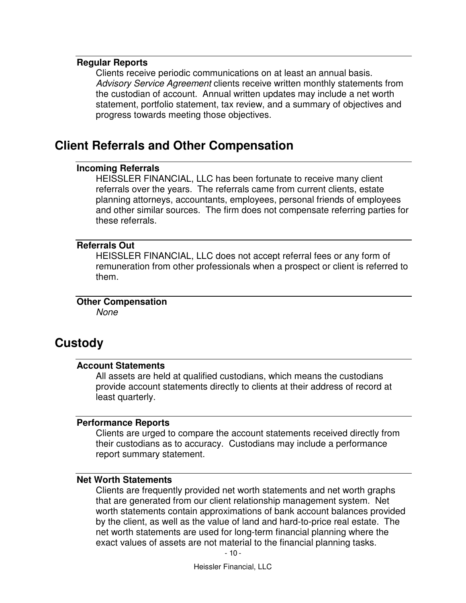#### **Regular Reports**

Clients receive periodic communications on at least an annual basis. *Advisory Service Agreement* clients receive written monthly statements from the custodian of account. Annual written updates may include a net worth statement, portfolio statement, tax review, and a summary of objectives and progress towards meeting those objectives.

### **Client Referrals and Other Compensation**

#### **Incoming Referrals**

HEISSLER FINANCIAL, LLC has been fortunate to receive many client referrals over the years. The referrals came from current clients, estate planning attorneys, accountants, employees, personal friends of employees and other similar sources. The firm does not compensate referring parties for these referrals.

#### **Referrals Out**

HEISSLER FINANCIAL, LLC does not accept referral fees or any form of remuneration from other professionals when a prospect or client is referred to them.

**Other Compensation**  *None* 

### **Custody**

#### **Account Statements**

All assets are held at qualified custodians, which means the custodians provide account statements directly to clients at their address of record at least quarterly.

#### **Performance Reports**

Clients are urged to compare the account statements received directly from their custodians as to accuracy. Custodians may include a performance report summary statement.

#### **Net Worth Statements**

Clients are frequently provided net worth statements and net worth graphs that are generated from our client relationship management system. Net worth statements contain approximations of bank account balances provided by the client, as well as the value of land and hard-to-price real estate. The net worth statements are used for long-term financial planning where the exact values of assets are not material to the financial planning tasks.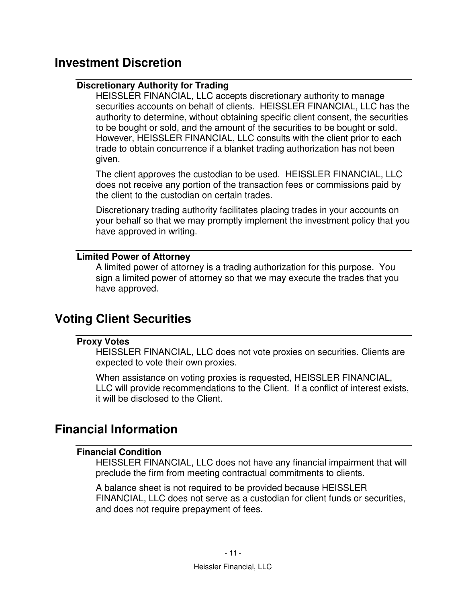# **Investment Discretion**

#### **Discretionary Authority for Trading**

HEISSLER FINANCIAL, LLC accepts discretionary authority to manage securities accounts on behalf of clients. HEISSLER FINANCIAL, LLC has the authority to determine, without obtaining specific client consent, the securities to be bought or sold, and the amount of the securities to be bought or sold. However, HEISSLER FINANCIAL, LLC consults with the client prior to each trade to obtain concurrence if a blanket trading authorization has not been given.

The client approves the custodian to be used. HEISSLER FINANCIAL, LLC does not receive any portion of the transaction fees or commissions paid by the client to the custodian on certain trades.

Discretionary trading authority facilitates placing trades in your accounts on your behalf so that we may promptly implement the investment policy that you have approved in writing.

#### **Limited Power of Attorney**

A limited power of attorney is a trading authorization for this purpose. You sign a limited power of attorney so that we may execute the trades that you have approved.

### **Voting Client Securities**

#### **Proxy Votes**

HEISSLER FINANCIAL, LLC does not vote proxies on securities. Clients are expected to vote their own proxies.

When assistance on voting proxies is requested, HEISSLER FINANCIAL, LLC will provide recommendations to the Client. If a conflict of interest exists, it will be disclosed to the Client.

### **Financial Information**

#### **Financial Condition**

HEISSLER FINANCIAL, LLC does not have any financial impairment that will preclude the firm from meeting contractual commitments to clients.

A balance sheet is not required to be provided because HEISSLER FINANCIAL, LLC does not serve as a custodian for client funds or securities, and does not require prepayment of fees.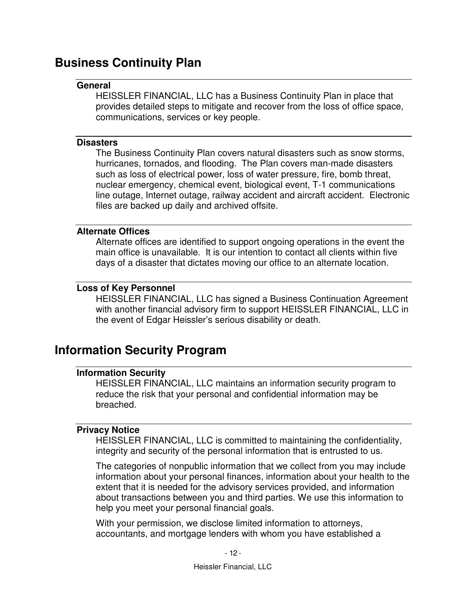# **Business Continuity Plan**

#### **General**

HEISSLER FINANCIAL, LLC has a Business Continuity Plan in place that provides detailed steps to mitigate and recover from the loss of office space, communications, services or key people.

#### **Disasters**

The Business Continuity Plan covers natural disasters such as snow storms, hurricanes, tornados, and flooding. The Plan covers man-made disasters such as loss of electrical power, loss of water pressure, fire, bomb threat, nuclear emergency, chemical event, biological event, T-1 communications line outage, Internet outage, railway accident and aircraft accident. Electronic files are backed up daily and archived offsite.

#### **Alternate Offices**

Alternate offices are identified to support ongoing operations in the event the main office is unavailable. It is our intention to contact all clients within five days of a disaster that dictates moving our office to an alternate location.

#### **Loss of Key Personnel**

HEISSLER FINANCIAL, LLC has signed a Business Continuation Agreement with another financial advisory firm to support HEISSLER FINANCIAL, LLC in the event of Edgar Heissler's serious disability or death.

### **Information Security Program**

#### **Information Security**

HEISSLER FINANCIAL, LLC maintains an information security program to reduce the risk that your personal and confidential information may be breached.

#### **Privacy Notice**

HEISSLER FINANCIAL, LLC is committed to maintaining the confidentiality, integrity and security of the personal information that is entrusted to us.

The categories of nonpublic information that we collect from you may include information about your personal finances, information about your health to the extent that it is needed for the advisory services provided, and information about transactions between you and third parties. We use this information to help you meet your personal financial goals.

With your permission, we disclose limited information to attorneys, accountants, and mortgage lenders with whom you have established a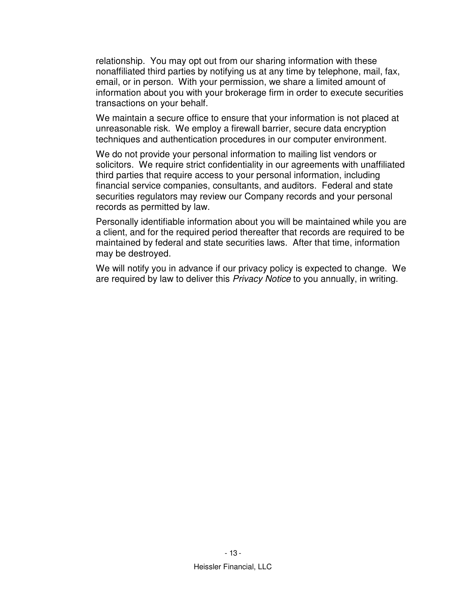relationship. You may opt out from our sharing information with these nonaffiliated third parties by notifying us at any time by telephone, mail, fax, email, or in person. With your permission, we share a limited amount of information about you with your brokerage firm in order to execute securities transactions on your behalf.

We maintain a secure office to ensure that your information is not placed at unreasonable risk. We employ a firewall barrier, secure data encryption techniques and authentication procedures in our computer environment.

We do not provide your personal information to mailing list vendors or solicitors. We require strict confidentiality in our agreements with unaffiliated third parties that require access to your personal information, including financial service companies, consultants, and auditors. Federal and state securities regulators may review our Company records and your personal records as permitted by law.

Personally identifiable information about you will be maintained while you are a client, and for the required period thereafter that records are required to be maintained by federal and state securities laws. After that time, information may be destroyed.

We will notify you in advance if our privacy policy is expected to change. We are required by law to deliver this *Privacy Notice* to you annually, in writing.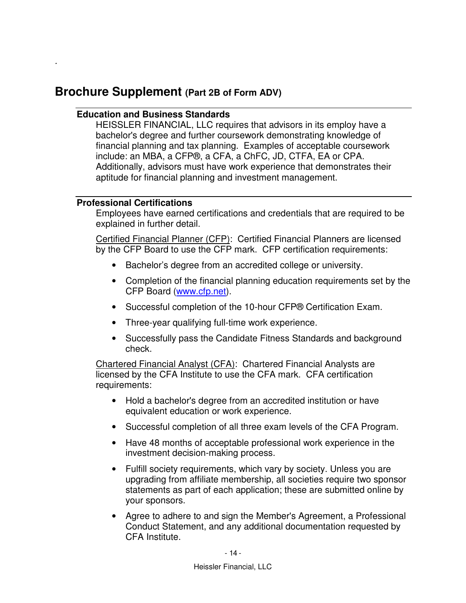### **Brochure Supplement (Part 2B of Form ADV)**

#### **Education and Business Standards**

HEISSLER FINANCIAL, LLC requires that advisors in its employ have a bachelor's degree and further coursework demonstrating knowledge of financial planning and tax planning. Examples of acceptable coursework include: an MBA, a CFP®, a CFA, a ChFC, JD, CTFA, EA or CPA. Additionally, advisors must have work experience that demonstrates their aptitude for financial planning and investment management.

#### **Professional Certifications**

*.* 

Employees have earned certifications and credentials that are required to be explained in further detail.

Certified Financial Planner (CFP): Certified Financial Planners are licensed by the CFP Board to use the CFP mark. CFP certification requirements:

- Bachelor's degree from an accredited college or university.
- Completion of the financial planning education requirements set by the CFP Board (www.cfp.net).
- Successful completion of the 10-hour CFP® Certification Exam.
- Three-year qualifying full-time work experience.
- Successfully pass the Candidate Fitness Standards and background check.

Chartered Financial Analyst (CFA): Chartered Financial Analysts are licensed by the CFA Institute to use the CFA mark. CFA certification requirements:

- Hold a bachelor's degree from an accredited institution or have equivalent education or work experience.
- Successful completion of all three exam levels of the CFA Program.
- Have 48 months of acceptable professional work experience in the investment decision-making process.
- Fulfill society requirements, which vary by society. Unless you are upgrading from affiliate membership, all societies require two sponsor statements as part of each application; these are submitted online by your sponsors.
- Agree to adhere to and sign the Member's Agreement, a Professional Conduct Statement, and any additional documentation requested by CFA Institute.